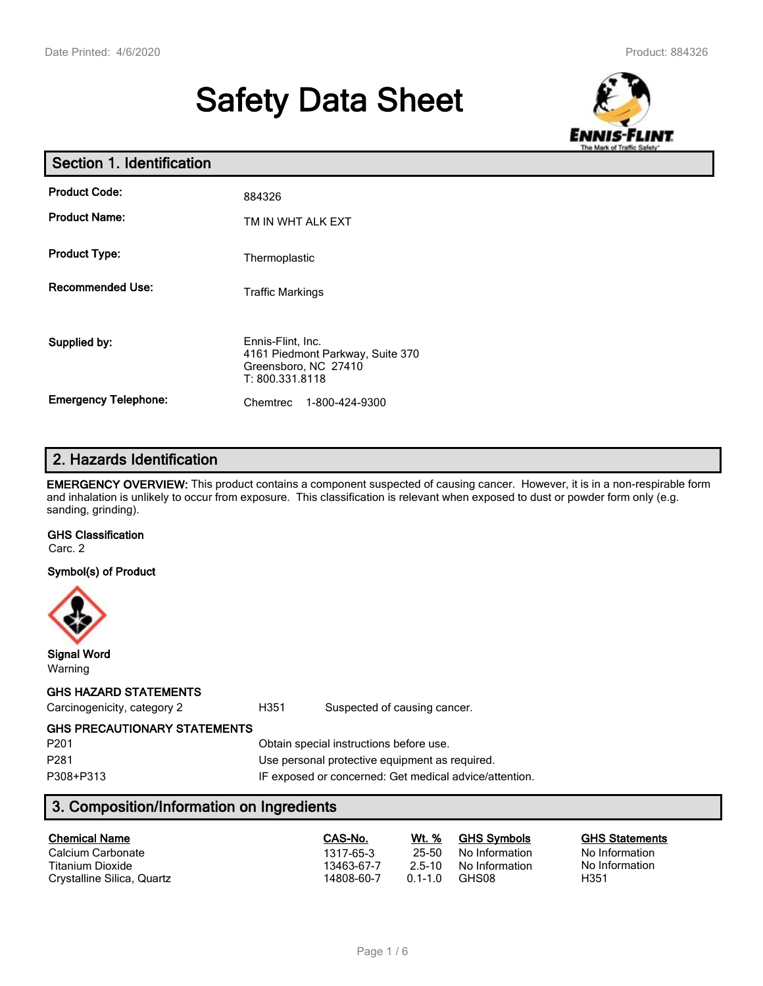# **Safety Data Sheet**



| Section 1. Identification   |                                                                                                  |  |  |  |  |
|-----------------------------|--------------------------------------------------------------------------------------------------|--|--|--|--|
| <b>Product Code:</b>        | 884326                                                                                           |  |  |  |  |
| <b>Product Name:</b>        | TM IN WHT ALK EXT                                                                                |  |  |  |  |
| <b>Product Type:</b>        | Thermoplastic                                                                                    |  |  |  |  |
| <b>Recommended Use:</b>     | <b>Traffic Markings</b>                                                                          |  |  |  |  |
| Supplied by:                | Ennis-Flint, Inc.<br>4161 Piedmont Parkway, Suite 370<br>Greensboro, NC 27410<br>T: 800.331.8118 |  |  |  |  |
| <b>Emergency Telephone:</b> | 1-800-424-9300<br>Chemtrec                                                                       |  |  |  |  |

# **2. Hazards Identification**

**EMERGENCY OVERVIEW:** This product contains a component suspected of causing cancer. However, it is in a non-respirable form and inhalation is unlikely to occur from exposure. This classification is relevant when exposed to dust or powder form only (e.g. sanding, grinding).

# **GHS Classification**

Carc. 2

#### **Symbol(s) of Product**



**Signal Word** Warning

#### **GHS HAZARD STATEMENTS**

Carcinogenicity, category 2 **H351** Suspected of causing cancer.

#### **GHS PRECAUTIONARY STATEMENTS**

P201 Obtain special instructions before use. P281 P281 **Dise personal protective equipment as required.** P308+P313 IF exposed or concerned: Get medical advice/attention.

# **3. Composition/Information on Ingredients**

| <b>Chemical Name</b>       | CAS-No.    | Wt. %       | <b>GHS Symbols</b> | <b>GHS Statements</b> |
|----------------------------|------------|-------------|--------------------|-----------------------|
| Calcium Carbonate          | 1317-65-3  | 25-50       | No Information     | No Information        |
| Titanium Dioxide           | 13463-67-7 | 2.5-10      | No Information     | No Information        |
| Crystalline Silica, Quartz | 14808-60-7 | $0.1 - 1.0$ | GHS08              | H351                  |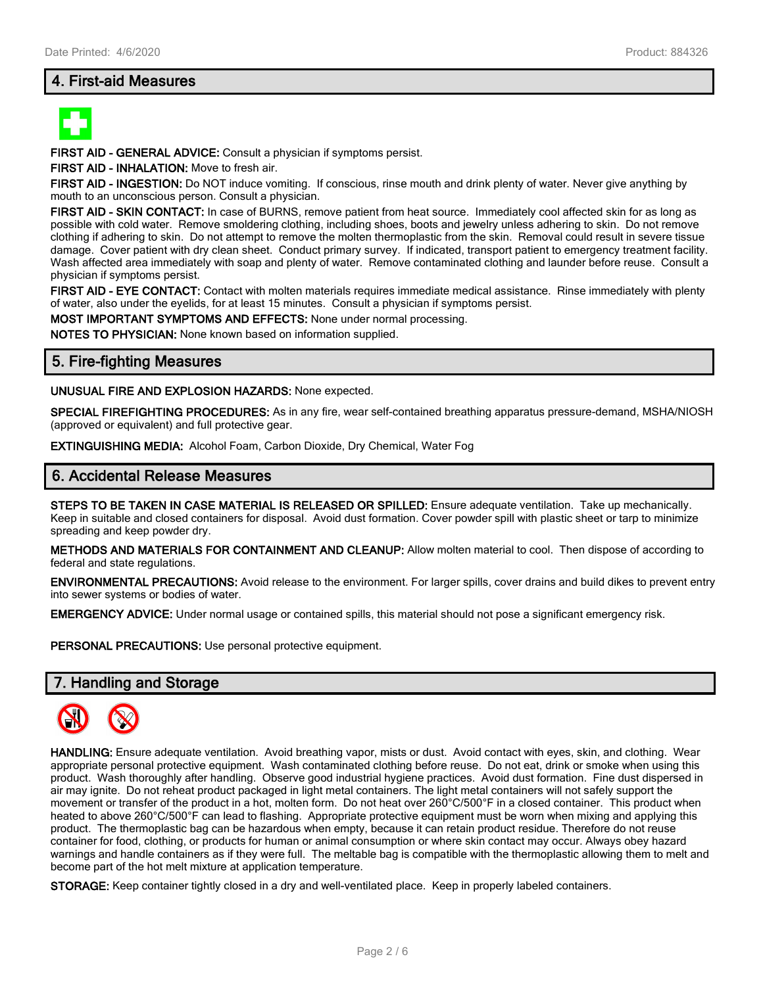## **4. First-aid Measures**



**FIRST AID - GENERAL ADVICE:** Consult a physician if symptoms persist.

**FIRST AID - INHALATION:** Move to fresh air.

**FIRST AID - INGESTION:** Do NOT induce vomiting. If conscious, rinse mouth and drink plenty of water. Never give anything by mouth to an unconscious person. Consult a physician.

**FIRST AID - SKIN CONTACT:** In case of BURNS, remove patient from heat source. Immediately cool affected skin for as long as possible with cold water. Remove smoldering clothing, including shoes, boots and jewelry unless adhering to skin. Do not remove clothing if adhering to skin. Do not attempt to remove the molten thermoplastic from the skin. Removal could result in severe tissue damage. Cover patient with dry clean sheet. Conduct primary survey. If indicated, transport patient to emergency treatment facility. Wash affected area immediately with soap and plenty of water. Remove contaminated clothing and launder before reuse. Consult a physician if symptoms persist.

**FIRST AID - EYE CONTACT:** Contact with molten materials requires immediate medical assistance. Rinse immediately with plenty of water, also under the eyelids, for at least 15 minutes. Consult a physician if symptoms persist.

**MOST IMPORTANT SYMPTOMS AND EFFECTS:** None under normal processing.

**NOTES TO PHYSICIAN:** None known based on information supplied.

#### **5. Fire-fighting Measures**

**UNUSUAL FIRE AND EXPLOSION HAZARDS:** None expected.

**SPECIAL FIREFIGHTING PROCEDURES:** As in any fire, wear self-contained breathing apparatus pressure-demand, MSHA/NIOSH (approved or equivalent) and full protective gear.

**EXTINGUISHING MEDIA:** Alcohol Foam, Carbon Dioxide, Dry Chemical, Water Fog

#### **6. Accidental Release Measures**

**STEPS TO BE TAKEN IN CASE MATERIAL IS RELEASED OR SPILLED:** Ensure adequate ventilation. Take up mechanically. Keep in suitable and closed containers for disposal. Avoid dust formation. Cover powder spill with plastic sheet or tarp to minimize spreading and keep powder dry.

**METHODS AND MATERIALS FOR CONTAINMENT AND CLEANUP:** Allow molten material to cool. Then dispose of according to federal and state regulations.

**ENVIRONMENTAL PRECAUTIONS:** Avoid release to the environment. For larger spills, cover drains and build dikes to prevent entry into sewer systems or bodies of water.

**EMERGENCY ADVICE:** Under normal usage or contained spills, this material should not pose a significant emergency risk.

**PERSONAL PRECAUTIONS:** Use personal protective equipment.

#### **7. Handling and Storage**



**HANDLING:** Ensure adequate ventilation. Avoid breathing vapor, mists or dust. Avoid contact with eyes, skin, and clothing. Wear appropriate personal protective equipment. Wash contaminated clothing before reuse. Do not eat, drink or smoke when using this product. Wash thoroughly after handling. Observe good industrial hygiene practices. Avoid dust formation. Fine dust dispersed in air may ignite. Do not reheat product packaged in light metal containers. The light metal containers will not safely support the movement or transfer of the product in a hot, molten form. Do not heat over 260°C/500°F in a closed container. This product when heated to above 260°C/500°F can lead to flashing. Appropriate protective equipment must be worn when mixing and applying this product. The thermoplastic bag can be hazardous when empty, because it can retain product residue. Therefore do not reuse container for food, clothing, or products for human or animal consumption or where skin contact may occur. Always obey hazard warnings and handle containers as if they were full. The meltable bag is compatible with the thermoplastic allowing them to melt and become part of the hot melt mixture at application temperature.

**STORAGE:** Keep container tightly closed in a dry and well-ventilated place. Keep in properly labeled containers.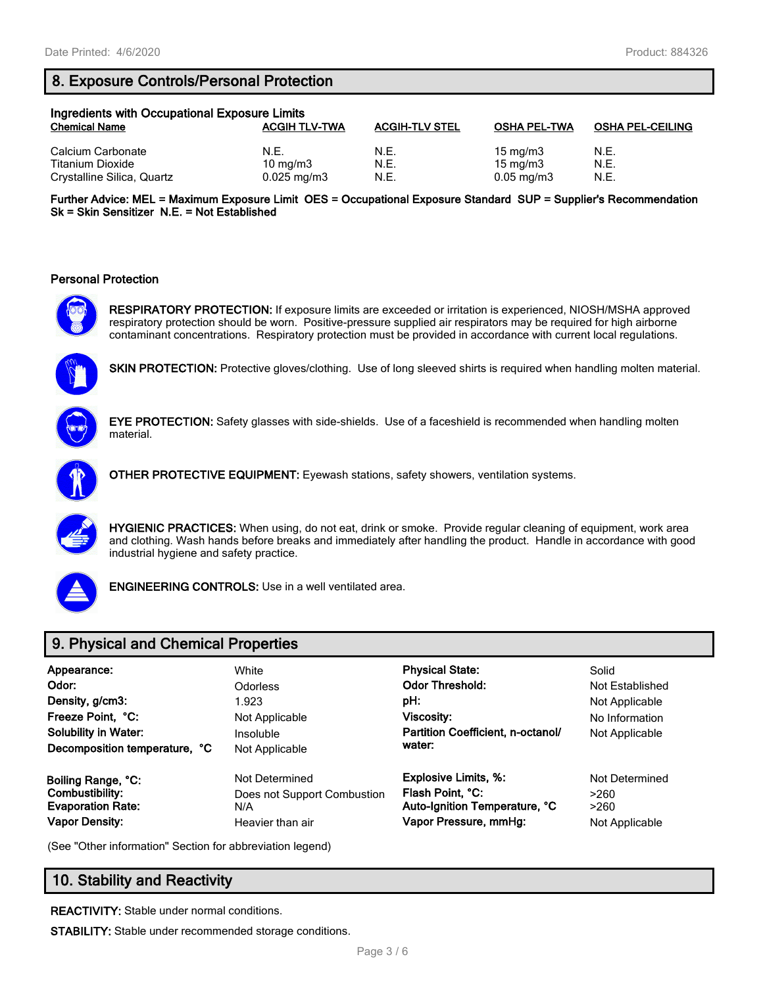# **8. Exposure Controls/Personal Protection**

| Ingredients with Occupational Exposure Limits |                           |                       |                            |                         |  |  |
|-----------------------------------------------|---------------------------|-----------------------|----------------------------|-------------------------|--|--|
| <b>Chemical Name</b>                          | <b>ACGIH TLV-TWA</b>      | <b>ACGIH-TLV STEL</b> | <b>OSHA PEL-TWA</b>        | <b>OSHA PEL-CEILING</b> |  |  |
| Calcium Carbonate<br>Titanium Dioxide         | N.E.<br>$10 \text{ mg/m}$ | N.E.<br>N.E.          | 15 mg/m $3$<br>15 mg/m $3$ | N.E.<br>N.E.            |  |  |
| Crystalline Silica, Quartz                    | $0.025 \,\mathrm{mg/m3}$  | N.E.                  | $0.05 \,\mathrm{mg/m}$     | N.E.                    |  |  |

**Further Advice: MEL = Maximum Exposure Limit OES = Occupational Exposure Standard SUP = Supplier's Recommendation Sk = Skin Sensitizer N.E. = Not Established**

#### **Personal Protection**



**RESPIRATORY PROTECTION:** If exposure limits are exceeded or irritation is experienced, NIOSH/MSHA approved respiratory protection should be worn. Positive-pressure supplied air respirators may be required for high airborne contaminant concentrations. Respiratory protection must be provided in accordance with current local regulations.



**SKIN PROTECTION:** Protective gloves/clothing. Use of long sleeved shirts is required when handling molten material.



**EYE PROTECTION:** Safety glasses with side-shields. Use of a faceshield is recommended when handling molten material.



**OTHER PROTECTIVE EQUIPMENT:** Eyewash stations, safety showers, ventilation systems.



**HYGIENIC PRACTICES:** When using, do not eat, drink or smoke. Provide regular cleaning of equipment, work area and clothing. Wash hands before breaks and immediately after handling the product. Handle in accordance with good industrial hygiene and safety practice.



**ENGINEERING CONTROLS:** Use in a well ventilated area.

# **9. Physical and Chemical Properties**

| Appearance:<br>Odor:<br>Density, g/cm3:<br>Freeze Point, °C:<br><b>Solubility in Water:</b><br>Decomposition temperature, °C | White<br><b>Odorless</b><br>1.923<br>Not Applicable<br>Insoluble<br>Not Applicable | <b>Physical State:</b><br><b>Odor Threshold:</b><br>pH:<br><b>Viscosity:</b><br>Partition Coefficient, n-octanol/<br>water: | Solid<br>Not Established<br>Not Applicable<br>No Information<br>Not Applicable |
|------------------------------------------------------------------------------------------------------------------------------|------------------------------------------------------------------------------------|-----------------------------------------------------------------------------------------------------------------------------|--------------------------------------------------------------------------------|
| Boiling Range, °C:                                                                                                           | Not Determined                                                                     | <b>Explosive Limits, %:</b>                                                                                                 | Not Determined                                                                 |
| Combustibility:                                                                                                              | Does not Support Combustion                                                        | Flash Point, °C:                                                                                                            | >260                                                                           |
| <b>Evaporation Rate:</b>                                                                                                     | N/A                                                                                | Auto-Ignition Temperature, °C                                                                                               | >260                                                                           |
| <b>Vapor Density:</b>                                                                                                        | Heavier than air                                                                   | Vapor Pressure, mmHg:                                                                                                       | Not Applicable                                                                 |

(See "Other information" Section for abbreviation legend)

# **10. Stability and Reactivity**

**REACTIVITY:** Stable under normal conditions.

**STABILITY:** Stable under recommended storage conditions.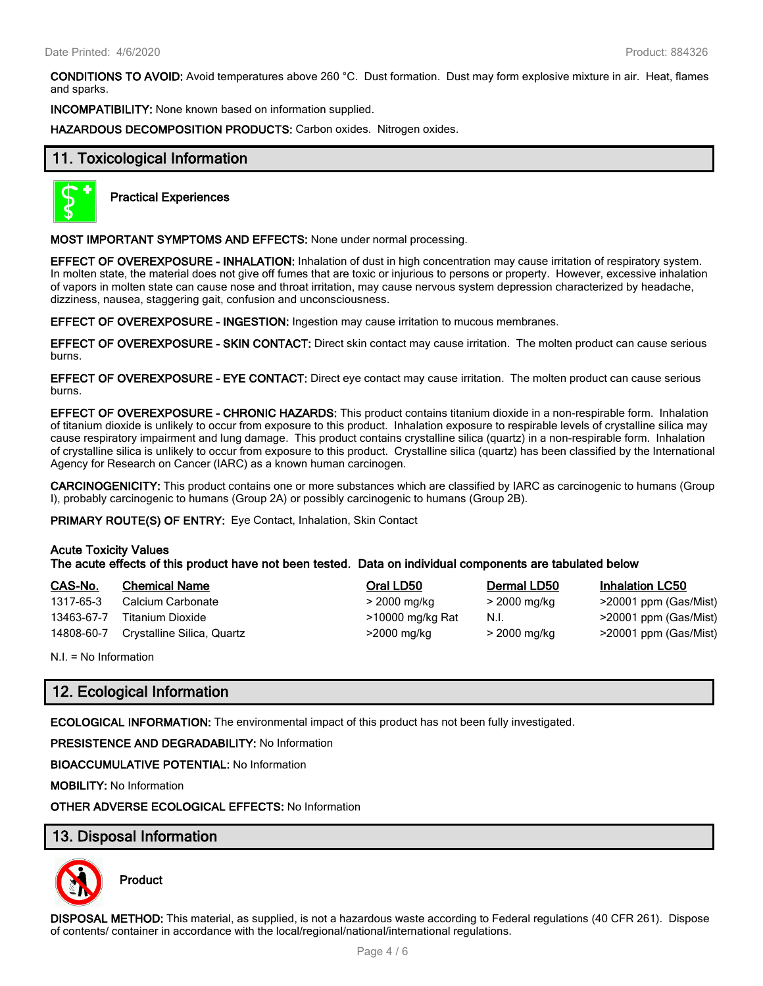**CONDITIONS TO AVOID:** Avoid temperatures above 260 °C. Dust formation. Dust may form explosive mixture in air. Heat, flames and sparks.

**INCOMPATIBILITY:** None known based on information supplied.

**HAZARDOUS DECOMPOSITION PRODUCTS:** Carbon oxides. Nitrogen oxides.

## **11. Toxicological Information**



**Practical Experiences**

**MOST IMPORTANT SYMPTOMS AND EFFECTS:** None under normal processing.

**EFFECT OF OVEREXPOSURE - INHALATION:** Inhalation of dust in high concentration may cause irritation of respiratory system. In molten state, the material does not give off fumes that are toxic or injurious to persons or property. However, excessive inhalation of vapors in molten state can cause nose and throat irritation, may cause nervous system depression characterized by headache, dizziness, nausea, staggering gait, confusion and unconsciousness.

**EFFECT OF OVEREXPOSURE - INGESTION:** Ingestion may cause irritation to mucous membranes.

**EFFECT OF OVEREXPOSURE - SKIN CONTACT:** Direct skin contact may cause irritation. The molten product can cause serious burns.

**EFFECT OF OVEREXPOSURE - EYE CONTACT:** Direct eye contact may cause irritation. The molten product can cause serious burns.

**EFFECT OF OVEREXPOSURE - CHRONIC HAZARDS:** This product contains titanium dioxide in a non-respirable form. Inhalation of titanium dioxide is unlikely to occur from exposure to this product. Inhalation exposure to respirable levels of crystalline silica may cause respiratory impairment and lung damage. This product contains crystalline silica (quartz) in a non-respirable form. Inhalation of crystalline silica is unlikely to occur from exposure to this product. Crystalline silica (quartz) has been classified by the International Agency for Research on Cancer (IARC) as a known human carcinogen.

**CARCINOGENICITY:** This product contains one or more substances which are classified by IARC as carcinogenic to humans (Group I), probably carcinogenic to humans (Group 2A) or possibly carcinogenic to humans (Group 2B).

**PRIMARY ROUTE(S) OF ENTRY:** Eye Contact, Inhalation, Skin Contact

#### **Acute Toxicity Values**

**The acute effects of this product have not been tested. Data on individual components are tabulated below**

| CAS-No.    | <b>Chemical Name</b>       | Oral LD50        | <b>Dermal LD50</b> | <b>Inhalation LC50</b>   |
|------------|----------------------------|------------------|--------------------|--------------------------|
| 1317-65-3  | Calcium Carbonate          | > 2000 mg/kg     | > 2000 mg/kg       | >20001 ppm (Gas/Mist)    |
| 13463-67-7 | Titanium Dioxide           | >10000 mg/kg Rat | N.I.               | $>$ 20001 ppm (Gas/Mist) |
| 14808-60-7 | Crystalline Silica, Quartz | >2000 mg/kg      | > 2000 mg/kg       | >20001 ppm (Gas/Mist)    |

N.I. = No Information

# **12. Ecological Information**

**ECOLOGICAL INFORMATION:** The environmental impact of this product has not been fully investigated.

**PRESISTENCE AND DEGRADABILITY:** No Information

**BIOACCUMULATIVE POTENTIAL:** No Information

**MOBILITY:** No Information

**OTHER ADVERSE ECOLOGICAL EFFECTS:** No Information

#### **13. Disposal Information**



**Product**

**DISPOSAL METHOD:** This material, as supplied, is not a hazardous waste according to Federal regulations (40 CFR 261). Dispose of contents/ container in accordance with the local/regional/national/international regulations.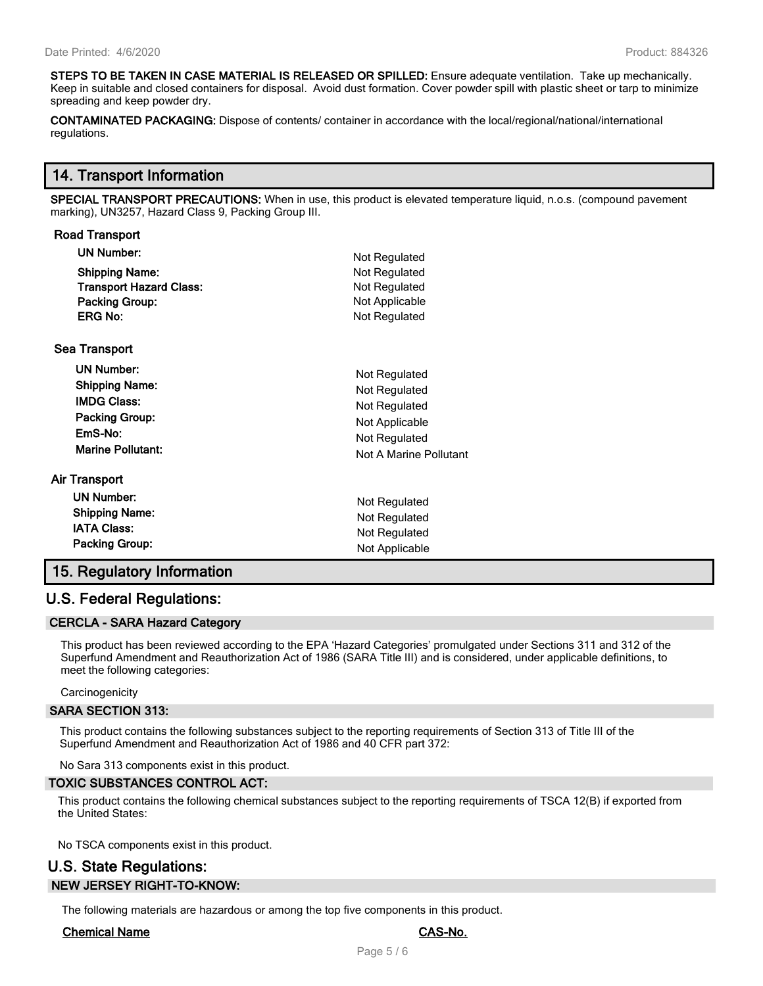**Road Transport**

**STEPS TO BE TAKEN IN CASE MATERIAL IS RELEASED OR SPILLED:** Ensure adequate ventilation. Take up mechanically. Keep in suitable and closed containers for disposal. Avoid dust formation. Cover powder spill with plastic sheet or tarp to minimize spreading and keep powder dry.

**CONTAMINATED PACKAGING:** Dispose of contents/ container in accordance with the local/regional/national/international regulations.

#### **14. Transport Information**

**SPECIAL TRANSPORT PRECAUTIONS:** When in use, this product is elevated temperature liquid, n.o.s. (compound pavement marking), UN3257, Hazard Class 9, Packing Group III.

| Road Transport                 |                        |
|--------------------------------|------------------------|
| <b>UN Number:</b>              | Not Regulated          |
| <b>Shipping Name:</b>          | Not Regulated          |
| <b>Transport Hazard Class:</b> | Not Regulated          |
| <b>Packing Group:</b>          | Not Applicable         |
| <b>ERG No:</b>                 | Not Regulated          |
| <b>Sea Transport</b>           |                        |
| <b>UN Number:</b>              | Not Regulated          |
| <b>Shipping Name:</b>          | Not Regulated          |
| <b>IMDG Class:</b>             | Not Regulated          |
| <b>Packing Group:</b>          | Not Applicable         |
| EmS-No:                        | Not Regulated          |
| <b>Marine Pollutant:</b>       | Not A Marine Pollutant |
| Air Transport                  |                        |
| <b>UN Number:</b>              | Not Regulated          |
| <b>Shipping Name:</b>          | Not Regulated          |
| <b>IATA Class:</b>             | Not Regulated          |
| Packing Group:                 | Not Applicable         |
|                                |                        |

# **15. Regulatory Information**

#### **U.S. Federal Regulations:**

#### **CERCLA - SARA Hazard Category**

This product has been reviewed according to the EPA 'Hazard Categories' promulgated under Sections 311 and 312 of the Superfund Amendment and Reauthorization Act of 1986 (SARA Title III) and is considered, under applicable definitions, to meet the following categories:

#### **Carcinogenicity**

#### **SARA SECTION 313:**

This product contains the following substances subject to the reporting requirements of Section 313 of Title III of the Superfund Amendment and Reauthorization Act of 1986 and 40 CFR part 372:

No Sara 313 components exist in this product.

#### **TOXIC SUBSTANCES CONTROL ACT:**

This product contains the following chemical substances subject to the reporting requirements of TSCA 12(B) if exported from the United States:

No TSCA components exist in this product.

# **U.S. State Regulations: NEW JERSEY RIGHT-TO-KNOW:**

The following materials are hazardous or among the top five components in this product.

#### **Chemical Name CAS-No.**